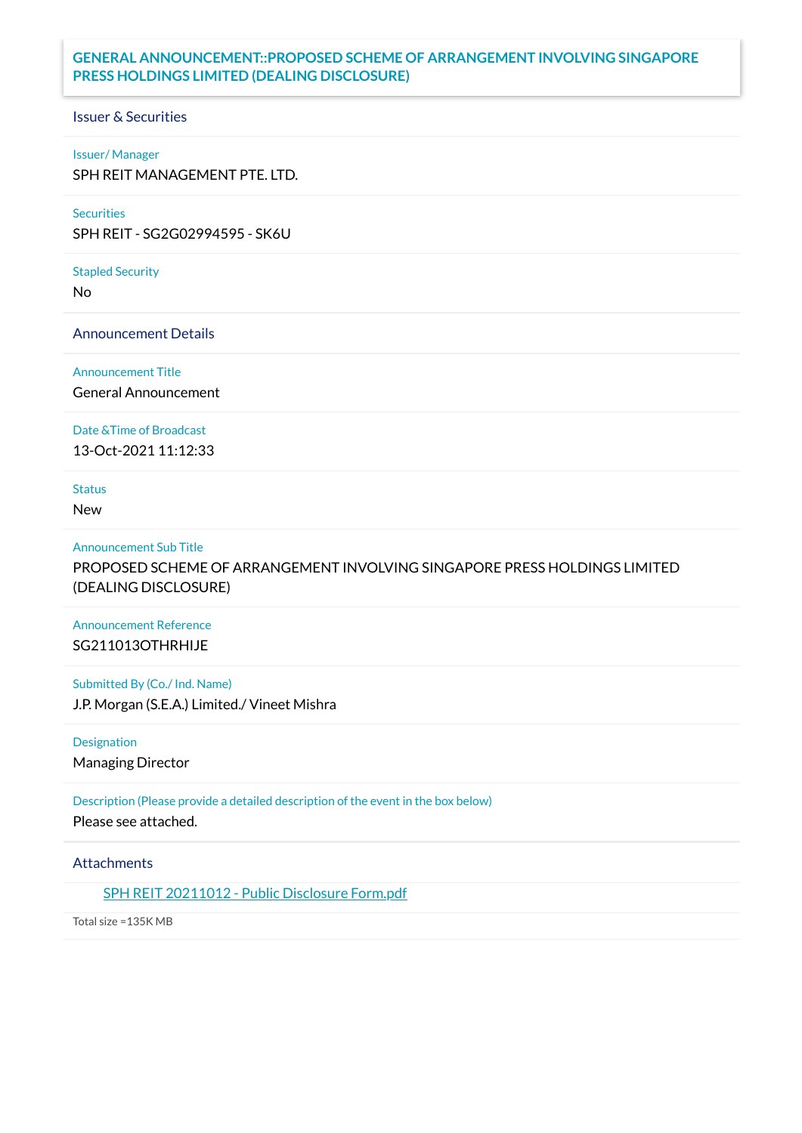## **GENERAL ANNOUNCEMENT::PROPOSED SCHEME OF ARRANGEMENT INVOLVING SINGAPORE PRESS HOLDINGS LIMITED (DEALING DISCLOSURE)**

## Issuer & Securities

### Issuer/ Manager

SPH REIT MANAGEMENT PTE. LTD.

## **Securities**

SPH REIT - SG2G02994595 - SK6U

### Stapled Security

No

Announcement Details

Announcement Title

General Announcement

Date &Time of Broadcast

13-Oct-2021 11:12:33

# Status

New

### Announcement Sub Title

PROPOSED SCHEME OF ARRANGEMENT INVOLVING SINGAPORE PRESS HOLDINGS LIMITED (DEALING DISCLOSURE)

## Announcement Reference SG211013OTHRHIJE

Submitted By (Co./ Ind. Name) J.P. Morgan (S.E.A.) Limited./ Vineet Mishra

Designation Managing Director

Description (Please provide a detailed description of the event in the box below) Please see attached.

## **Attachments**

SPH REIT [20211012](https://links.sgx.com/1.0.0/corporate-announcements/GA2OCKW7S2GO7CWA/686586_SPH%20REIT%2020211012%20-%20Public%20Disclosure%20Form.pdf) - Public Disclosure Form.pdf

Total size =135K MB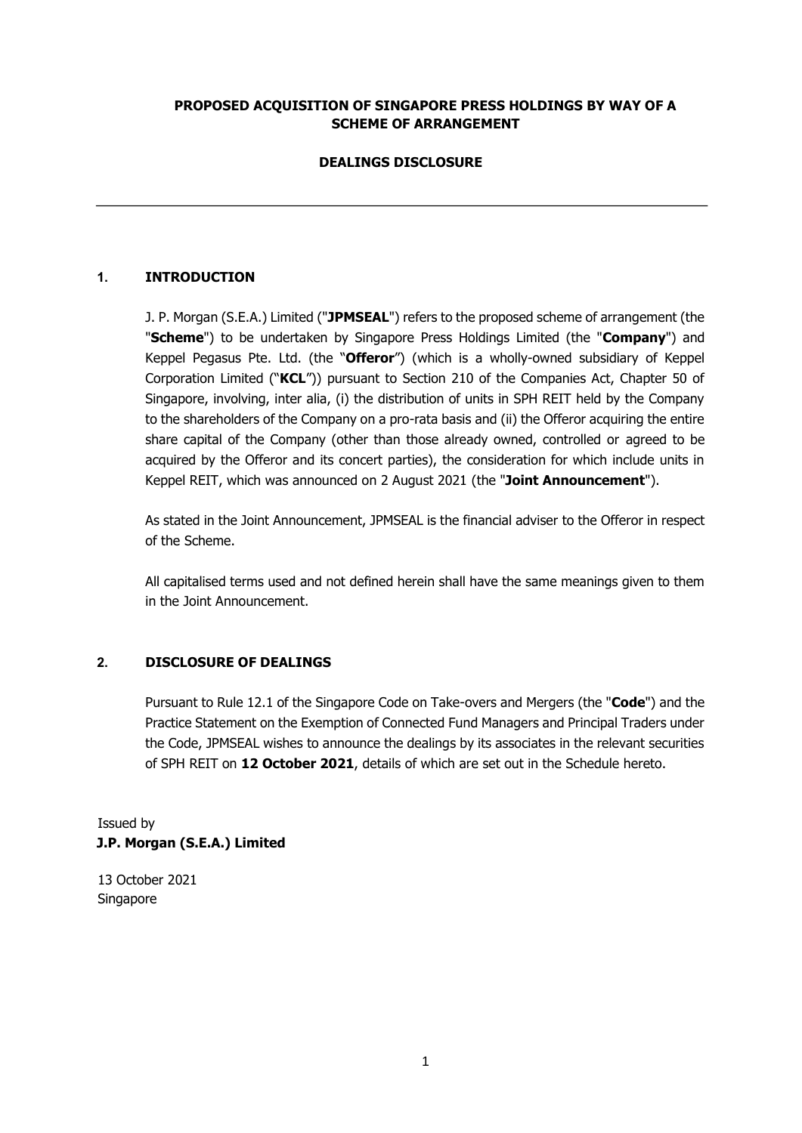## **PROPOSED ACQUISITION OF SINGAPORE PRESS HOLDINGS BY WAY OF A SCHEME OF ARRANGEMENT**

## **DEALINGS DISCLOSURE**

## **1. INTRODUCTION**

J. P. Morgan (S.E.A.) Limited ("**JPMSEAL**") refers to the proposed scheme of arrangement (the "**Scheme**") to be undertaken by Singapore Press Holdings Limited (the "**Company**") and Keppel Pegasus Pte. Ltd. (the "**Offeror**") (which is a wholly-owned subsidiary of Keppel Corporation Limited ("**KCL**")) pursuant to Section 210 of the Companies Act, Chapter 50 of Singapore, involving, inter alia, (i) the distribution of units in SPH REIT held by the Company to the shareholders of the Company on a pro-rata basis and (ii) the Offeror acquiring the entire share capital of the Company (other than those already owned, controlled or agreed to be acquired by the Offeror and its concert parties), the consideration for which include units in Keppel REIT, which was announced on 2 August 2021 (the "**Joint Announcement**").

As stated in the Joint Announcement, JPMSEAL is the financial adviser to the Offeror in respect of the Scheme.

All capitalised terms used and not defined herein shall have the same meanings given to them in the Joint Announcement.

### **2. DISCLOSURE OF DEALINGS**

Pursuant to Rule 12.1 of the Singapore Code on Take-overs and Mergers (the "**Code**") and the Practice Statement on the Exemption of Connected Fund Managers and Principal Traders under the Code, JPMSEAL wishes to announce the dealings by its associates in the relevant securities of SPH REIT on **12 October 2021**, details of which are set out in the Schedule hereto.

Issued by **J.P. Morgan (S.E.A.) Limited** 

13 October 2021 Singapore